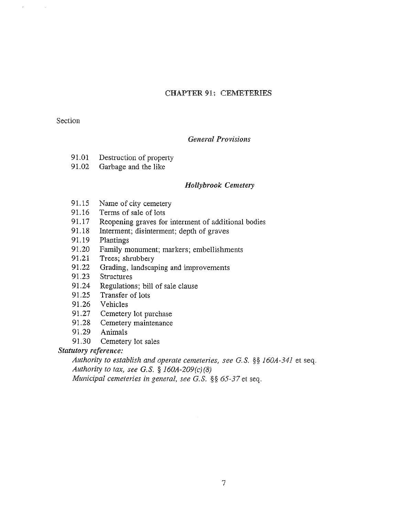# CHAPTER 91: CEMETERIES

# Section

 $\hat{r}$ 

# General Provisions

- 91.01 Destruction of property
- 91.02 Garbage and the like

## Hollybrook Cemetery

- 91.15 Name of city cemetery
- 91.16 Terms of sale of lots
- 91.17 Reopening graves for interment of additional bodies
- 91.18 Interment; disinterment; depth of graves
- 91.19 Plantings
- 91.20 Family monument; markers; embellishments
- 91.21 Trees; shrubbery
- 91.22 Grading, landscaping and improvements
- 91.23 Structures
- 91,24 Regulations; bill of sale clause
- 91.25 Transfer of lots
- 91.26 Vehicles
- 91,27 Cemetery lot purchase
- 91.28 Cemetery maintenance
- 91.29 Animals
- 91.30 Cemetery lot sales

# Statutory reference:

Authority to establish and operate cemeteries, see G.S.  $\S\S 160A-341$  et seq. Authority to tax, see G.S.  $\S$  160A-209(c)(8) Municipal cemeteries in general, see G.S.  $\S$ § 65-37 et seq.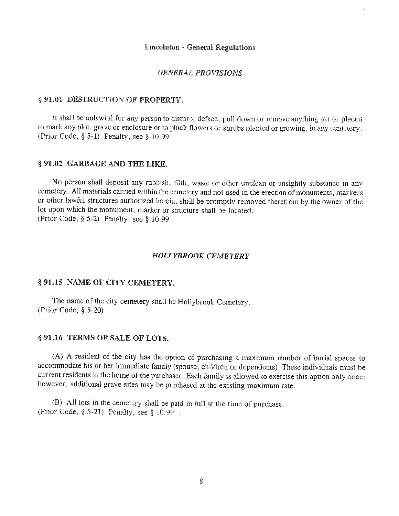#### Lincolnton - General Regulations

#### GENERAL PROVISIONS

# § 91,01 DESTRUCTION OF PROPERTY.

It shall be unlawful for any person to disturb, deface, pull down or remove anything put or placed to mark any plot, grave or enclosure or to pluck flowers or shrubs planted or growing, in any cemetery. (Prior Code, § 5-1) Penalty, see § 10.99

#### § 91.02 GARBAGE AND THE LIKE.

No person shall deposit any rubbish, filth, waste or other unclean or unsightly substance in any cemetery. All materials carried within the cemetery and not used in the erection of monuments, markers or other lawful structures authorized herein, shall be promptly removed therefrom by the owner of the lot upon which the monument, marker or structure shall be located. (Prior Code, § 5-2) Penalty, see § 10.99

#### HOLLYBROOK CEMETERY

#### § 91,15 NAME OF CITY CEMETERY,

The name of the city cemetery shall be Hollybrook Cemetery. (Prior Code, § 5-20)

## § 91,16 TERMS OF SALE OF LOTS,

(A) <sup>A</sup> resident of the city has the option of purchasing <sup>a</sup> maximum number of burial spaces to accommodate his or her immediate family (spouse, children or dependents). These individuals must be current residents in the home of the purchaser. Each family is allowed to exercise this option only once; however, additional grave sites may be purchased at the existing maximum rate.

(B) All lots in the cemetery shall be paid in full at the time of purchase, (Prior Code, § 5-21) Penalty, see § 10.99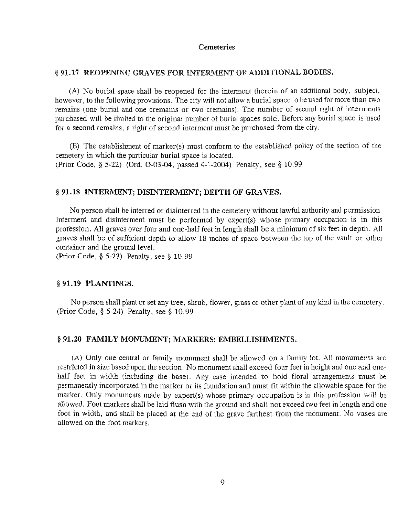#### Cemeteries

### § 91.17 REOPENING GRAVES FOR INTERMENT OF ADDITIONAL BODIES.

(A) No burial space shall be reopened for the interment therein of an additional body, subject, however, to the following provisions. The city will not allow <sup>a</sup> burial space to be used for more than two remains (one burial and one cremains or two cremains). The number of second right of interments purchased will be limited to the original number of burial spaces sold. Before any burial space is used for <sup>a</sup> second remains, <sup>a</sup> right of second interment must be purchased from the city.

(B) The establishment of marker(s) must conform to the established policy of the section of the cemetery in which the particular burial space is located. (Prior Code, § 5-22) (Ord. 0-03-04, passed 4-1-2004) Penalty, see § 10.99

#### § 91.18 INTERMENT; DISINTERMENT; DEPTH OF GRAVES.

No person shall be interred or disinterred in the cemetery without lawful authority and permission. Interment and disinterment must be performed by expert(s) whose primary occupation is in this profession. All graves over four and one-half feet in length shall be <sup>a</sup> minimum of six feet in depth. All graves shall be of sufficient depth to allow 18 inches of space between the top of the vault or other container and the ground level.

(Prior Code, § 5-23) Penalty, see § 10.99

### § 91.19 PLANTINGS.

No person shall plant or set any tree, shrub, flower, grass or other plant of any kind in the cemetery. (Prior Code, § 5-24) Penalty, see § 10.99

#### § 91.20 FAMILY MONUMENT; MARKERS; EMBELLISHMENTS.

(A) Only one central or family monument shall be allowed on <sup>a</sup> family lot. All monuments are restricted in size based upon the section. No monument shall exceed four feet in height and one and onehalf feet in width (including the base). Any case intended to hold floral arrangements must be permanently incorporated in the marker or its foundation and must fit within the allowable space for the marker. Only monuments made by expert(s) whose primary occupation is in this profession will be allowed. Foot markers shall be laid flush with the ground and shall not exceed two feet in length and one foot in width, and shall be placed at the end of the grave farthest from the monument. No vases are allowed on the foot markers.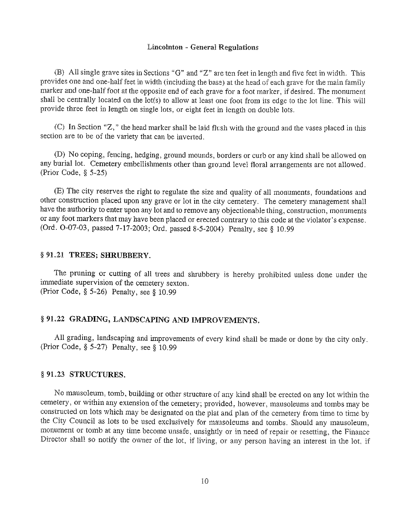#### Lincolnton - General Regulations

(B) All single grave sites in Sections "G" and "Z" are ten feet in length and five feet in width. This provides one and one-half feet in width (including the base) at the head of each grave for the main family marker and one-half foot at the opposite end of each grave for <sup>a</sup> foot marker, if desired, The monument shall be centrally located on the lot(s) to allow at least one foot from its edge to the lot line. This will provide three feet in length on single lots, or eight feet in length on double lots.

(C) In Section "Z," the head marker shall be laid flush with the ground and the vases placed in this section are to be of the variety that can be inverted.

(D) No coping, fencing, hedging, ground mounds, borders or curb or any kind shall be allowed on any burial lot. Cemetery embellishments other than ground level floral arrangements are not allowed. (Prior Code, § 5-25)

(B) The city reserves the right to regulate the size and quality of all monuments, foundations and other construction placed upon any grave or lot in the city cemetery. The cemetery management shall have the authority to enter upon any lot and to remove any objectionable thing, construction, monuments or any foot markers that may have been placed or erected contrary to this code at the violator's expense. (Ord. 0-07-03, passed 7-17-2003; Ord. passed 8-5-2004) Penalty, see § 10.99

#### § 91.21 TREES; SHRUBBERY.

The pruning or cutting of all trees and shrubbery is hereby prohibited unless done under the immediate supervision of the cemetery sexton. (Prior Code, § 5-26) Penalty, see § 10.99

# § 91,22 GRADING, LANDSCAPING AND IMPROVEMENTS.

All grading, landscaping and improvements of every kind shall be made or done by the city only. (Prior Code, § 5-27) Penalty, see § 10.99

#### § 91.23 STRUCTURES.

No mausoleum, tomb, building or other structure of any kind shall be erected on any lot within the cemetery, or within any extension of the cemetery; provided, however, mausoleums and tombs may be constructed on lots 'which may be designated on the plat and plan of the cemetery from time to time by the City Council as lots to be used exclusively for mausoleums and tombs. Should any mausoleum, monument or tomb at any time become unsafe, unsightly or in need of repair or resetting, the Finance Director shall so notify the owner of the lot, if living, or any person having an interest in the lot, if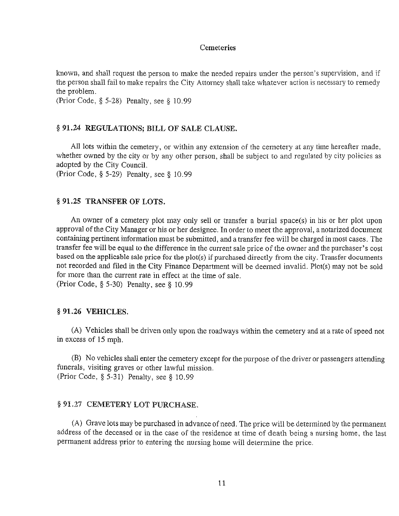## Cemeteries

known, and shall request the person to make the needed repairs under the person's supervision, and if the person shall fail to make repairs the City Attorney shall take whatever action is necessary to remedy the problem.

(Prior Code, § 5-28) Penalty, see § 10.99

#### § 91.24 REGULATIONS; BILL OF SALE CLAUSE.

All lots within the cemetery, or within any extension of the cemetery at any time hereafter made, whether owned by the city or by any other person, shall be subject to and regulated by city policies as adopted by the City Council.

(Prior Code, § 5-29) Penalty, see § 10.99

### § 91,25 TRANSFER OF LOTS.

An owner of <sup>a</sup> cemetery plot may only sell or transfer <sup>a</sup> burial space(s) in his or her plot upon approval of the City Manager or his or her designee. In order to meet the approval, <sup>a</sup> notarized document containing pertinent information must be submitted, and <sup>a</sup> transfer fee will be charged in most cases. The transfer fee will be equal to the difference in the current sale price of the owner and the purchaser's cost based on the applicable sale price for the plot(s) if purchased directly from the city. Transfer documents not recorded and filed in the City Finance Department will be deemed invalid. Plot(s) may not be sold for more than the current rate in effect at the time of sale. (Prior Code, § 5-30) Penalty, see § 10.99

#### § 91.26 VEHICLES.

(A) Vehicles shall be driven only upon the roadways within the cemetery and at <sup>a</sup> rate of speed not in excess of 15 mph.

(B) No vehicles shall enter the cemetery except for the purpose of the driver or passengers attending funerals, visiting graves or other lawful mission. (Prior Code, § 5-31) Penalty, see § 10.99

## § 91,27 CEMETERY LOT PURCHASE.

(A) Grave lots may be purchased in advance of need. The price will be determined by the permanent address of the deceased or in the case of the residence at time of death being <sup>a</sup> nursing home, the last permanent address prior to entering the nursing home will determine the price.